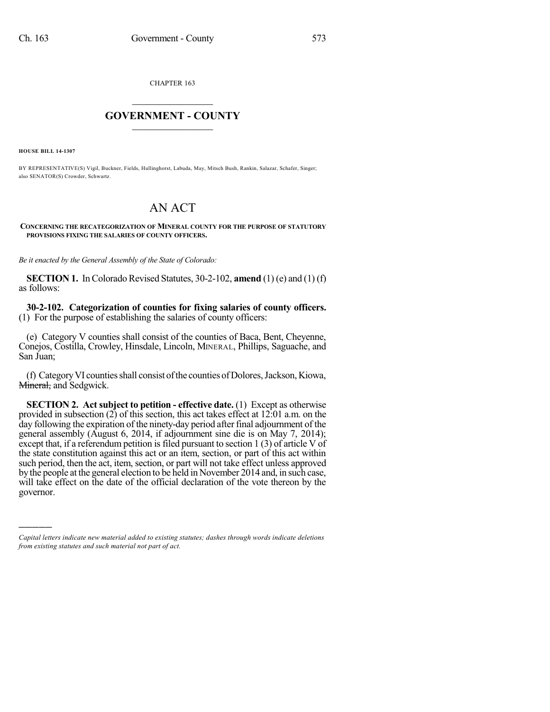CHAPTER 163

## $\mathcal{L}_\text{max}$  . The set of the set of the set of the set of the set of the set of the set of the set of the set of the set of the set of the set of the set of the set of the set of the set of the set of the set of the set **GOVERNMENT - COUNTY**  $\_$

**HOUSE BILL 14-1307**

)))))

BY REPRESENTATIVE(S) Vigil, Buckner, Fields, Hullinghorst, Labuda, May, Mitsch Bush, Rankin, Salazar, Schafer, Singer; also SENATOR(S) Crowder, Schwartz.

## AN ACT

**CONCERNING THE RECATEGORIZATION OF MINERAL COUNTY FOR THE PURPOSE OF STATUTORY PROVISIONS FIXING THE SALARIES OF COUNTY OFFICERS.**

*Be it enacted by the General Assembly of the State of Colorado:*

**SECTION 1.** In Colorado Revised Statutes, 30-2-102, **amend** (1) (e) and (1) (f) as follows:

**30-2-102. Categorization of counties for fixing salaries of county officers.** (1) For the purpose of establishing the salaries of county officers:

(e) Category V counties shall consist of the counties of Baca, Bent, Cheyenne, Conejos, Costilla, Crowley, Hinsdale, Lincoln, MINERAL, Phillips, Saguache, and San Juan;

(f) Category VI counties shall consist of the counties of Dolores, Jackson, Kiowa, Mineral, and Sedgwick.

**SECTION 2. Act subject to petition - effective date.** (1) Except as otherwise provided in subsection (2) of this section, this act takes effect at 12:01 a.m. on the day following the expiration of the ninety-day period after final adjournment of the general assembly (August 6, 2014, if adjournment sine die is on May 7, 2014); except that, if a referendum petition is filed pursuant to section  $1(3)$  of article V of the state constitution against this act or an item, section, or part of this act within such period, then the act, item, section, or part will not take effect unless approved by the people at the general election to be held in November 2014 and, in such case, will take effect on the date of the official declaration of the vote thereon by the governor.

*Capital letters indicate new material added to existing statutes; dashes through words indicate deletions from existing statutes and such material not part of act.*